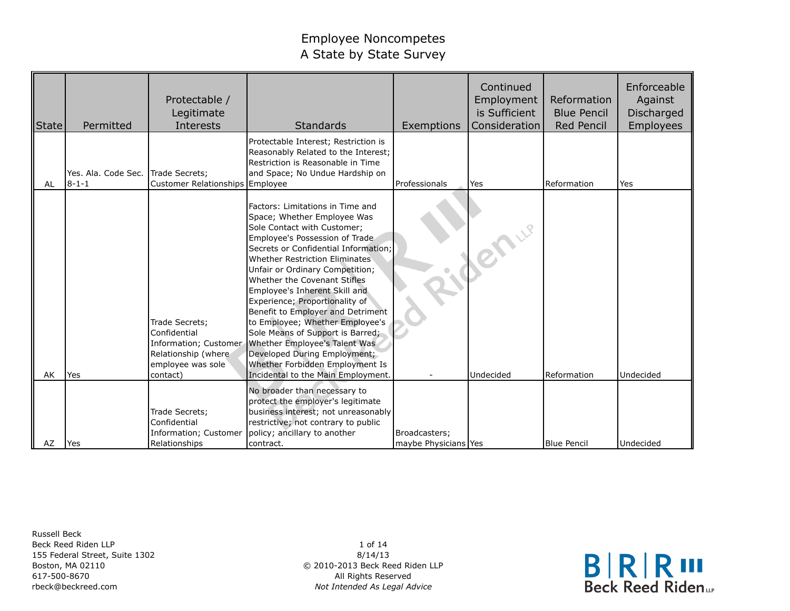| State | Permitted                          | Protectable /<br>Legitimate<br>Interests                                                                        | <b>Standards</b>                                                                                                                                                                                                                                                                                                                                                                                                                                                                                                                                                                                       | Exemptions           | Continued<br>Employment<br>is Sufficient<br>Consideration | Reformation<br><b>Blue Pencil</b><br><b>Red Pencil</b> | Enforceable<br>Against<br>Discharged<br><b>Employees</b> |
|-------|------------------------------------|-----------------------------------------------------------------------------------------------------------------|--------------------------------------------------------------------------------------------------------------------------------------------------------------------------------------------------------------------------------------------------------------------------------------------------------------------------------------------------------------------------------------------------------------------------------------------------------------------------------------------------------------------------------------------------------------------------------------------------------|----------------------|-----------------------------------------------------------|--------------------------------------------------------|----------------------------------------------------------|
| AL    | Yes. Ala. Code Sec.<br>$8 - 1 - 1$ | Trade Secrets;<br>Customer Relationships Employee                                                               | Protectable Interest; Restriction is<br>Reasonably Related to the Interest;<br>Restriction is Reasonable in Time<br>and Space; No Undue Hardship on                                                                                                                                                                                                                                                                                                                                                                                                                                                    | Professionals        | Yes                                                       | Reformation                                            | Yes                                                      |
| AK    | Yes                                | Trade Secrets;<br>Confidential<br>Information; Customer<br>Relationship (where<br>employee was sole<br>contact) | Factors: Limitations in Time and<br>Space; Whether Employee Was<br>Sole Contact with Customer;<br>Employee's Possession of Trade<br>Secrets or Confidential Information;<br>Whether Restriction Eliminates<br>Unfair or Ordinary Competition;<br>Whether the Covenant Stifles<br>Employee's Inherent Skill and<br>Experience; Proportionality of<br>Benefit to Employer and Detriment<br>to Employee; Whether Employee's<br>Sole Means of Support is Barred;<br>Whether Employee's Talent Was<br>Developed During Employment;<br>Whether Forbidden Employment Is<br>Incidental to the Main Employment. |                      | lenue.<br>Undecided                                       | Reformation                                            | Undecided                                                |
|       |                                    |                                                                                                                 | No broader than necessary to<br>protect the employer's legitimate                                                                                                                                                                                                                                                                                                                                                                                                                                                                                                                                      |                      |                                                           |                                                        |                                                          |
|       |                                    | Trade Secrets;<br>Confidential<br>Information; Customer                                                         | business interest; not unreasonably<br>restrictive; not contrary to public<br>policy; ancillary to another                                                                                                                                                                                                                                                                                                                                                                                                                                                                                             | Broadcasters;        |                                                           |                                                        |                                                          |
| AZ    | <b>Yes</b>                         | Relationships                                                                                                   | contract.                                                                                                                                                                                                                                                                                                                                                                                                                                                                                                                                                                                              | maybe Physicians Yes |                                                           | <b>Blue Pencil</b>                                     | Undecided                                                |

Russell Beck Beck Reed Riden LLP 155 Federal Street, Suite 1302 Boston, MA 02110 617-500-8670 rbeck@beckreed.com

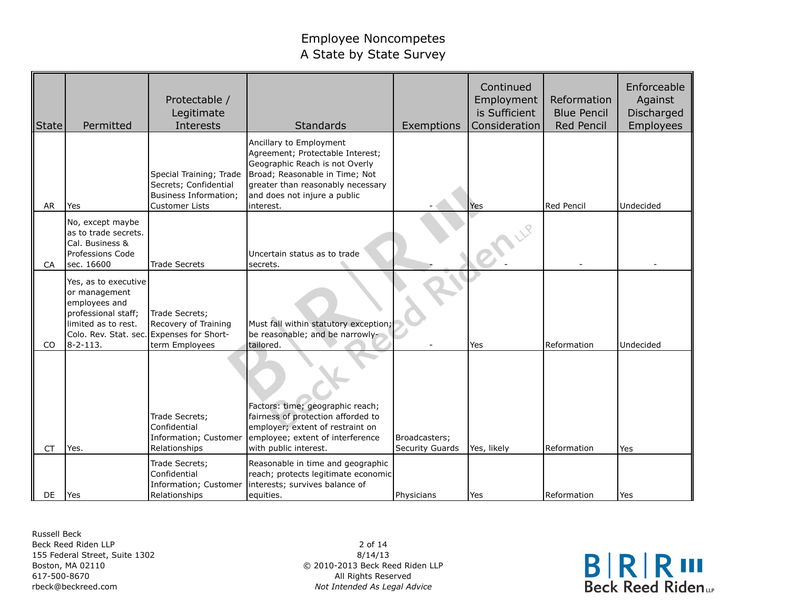| State     | Permitted                                                                                                                                                           | Protectable /<br>Legitimate<br>Interests                                                           | <b>Standards</b>                                                                                                                                                                                                  | Exemptions                       | Continued<br>Employment<br>is Sufficient<br>Consideration | Reformation<br><b>Blue Pencil</b><br><b>Red Pencil</b> | Enforceable<br>Against<br>Discharged<br>Employees |
|-----------|---------------------------------------------------------------------------------------------------------------------------------------------------------------------|----------------------------------------------------------------------------------------------------|-------------------------------------------------------------------------------------------------------------------------------------------------------------------------------------------------------------------|----------------------------------|-----------------------------------------------------------|--------------------------------------------------------|---------------------------------------------------|
| AR        | Yes                                                                                                                                                                 | Special Training; Trade<br>Secrets; Confidential<br>Business Information;<br><b>Customer Lists</b> | Ancillary to Employment<br>Agreement; Protectable Interest;<br>Geographic Reach is not Overly<br>Broad; Reasonable in Time; Not<br>greater than reasonably necessary<br>and does not injure a public<br>interest. |                                  | Yes                                                       | Red Pencil                                             | Undecided                                         |
| CA        | No, except maybe<br>as to trade secrets.<br>Cal. Business &<br>Professions Code<br>lsec. 16600                                                                      | <b>Trade Secrets</b>                                                                               | Uncertain status as to trade<br>secrets.                                                                                                                                                                          |                                  |                                                           |                                                        |                                                   |
| CO        | Yes, as to executive<br>or management<br>employees and<br>professional staff;<br>limited as to rest.<br>Colo. Rev. Stat. sec. Expenses for Short-<br>$8 - 2 - 113.$ | Trade Secrets;<br>Recovery of Training<br>term Employees                                           | Must fall within statutory exception;<br>be reasonable; and be narrowly-<br>tailored.                                                                                                                             |                                  | Yes                                                       | Reformation                                            | Undecided                                         |
| <b>CT</b> | Yes.                                                                                                                                                                | Trade Secrets;<br>Confidential<br>Information; Customer<br>Relationships                           | Factors: time; geographic reach;<br>fairness of protection afforded to<br>employer; extent of restraint on<br>employee; extent of interference<br>with public interest.                                           | Broadcasters;<br>Security Guards | Yes, likely                                               | Reformation                                            | Yes                                               |
| DE        | <b>Yes</b>                                                                                                                                                          | Trade Secrets;<br>Confidential<br>Information; Customer<br>Relationships                           | Reasonable in time and geographic<br>reach; protects legitimate economic<br>interests; survives balance of<br>equities.                                                                                           | Physicians                       | Yes                                                       | Reformation                                            | Yes                                               |

Russell Beck Beck Reed Riden LLP 155 Federal Street, Suite 1302 Boston, MA 02110 617-500-8670 rbeck@beckreed.com

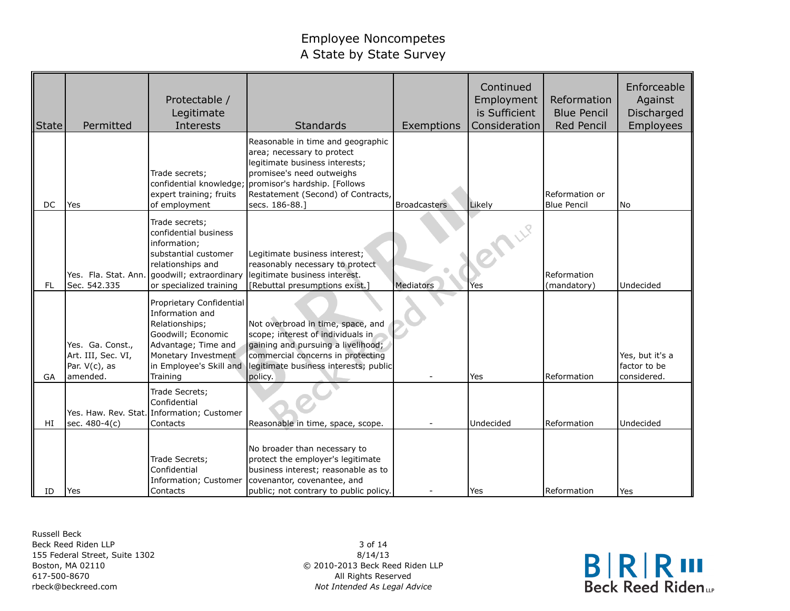| State     | Permitted                                                           | Protectable /<br>Legitimate<br>Interests                                                                                                                                        | Standards                                                                                                                                                                                                                | Exemptions          | Continued<br>Employment<br>is Sufficient<br>Consideration | Reformation<br><b>Blue Pencil</b><br><b>Red Pencil</b> | Enforceable<br>Against<br>Discharged<br>Employees |
|-----------|---------------------------------------------------------------------|---------------------------------------------------------------------------------------------------------------------------------------------------------------------------------|--------------------------------------------------------------------------------------------------------------------------------------------------------------------------------------------------------------------------|---------------------|-----------------------------------------------------------|--------------------------------------------------------|---------------------------------------------------|
| DC        | Yes                                                                 | Trade secrets;<br>confidential knowledge;<br>expert training; fruits<br>of employment                                                                                           | Reasonable in time and geographic<br>area; necessary to protect<br>legitimate business interests;<br>promisee's need outweighs<br>promisor's hardship. [Follows]<br>Restatement (Second) of Contracts,<br>secs. 186-88.] | <b>Broadcasters</b> | Likely                                                    | Reformation or<br><b>Blue Pencil</b>                   | <b>No</b>                                         |
| <b>FL</b> | Sec. 542.335                                                        | Trade secrets;<br>confidential business<br>information;<br>substantial customer<br>relationships and<br>Yes. Fla. Stat. Ann. goodwill; extraordinary<br>or specialized training | Legitimate business interest;<br>reasonably necessary to protect<br>legitimate business interest.<br>[Rebuttal presumptions exist.]                                                                                      | Mediators           | Yes                                                       | Reformation<br>(mandatory)                             | Undecided                                         |
| GA        | Yes. Ga. Const.,<br>Art. III, Sec. VI,<br>Par. V(c), as<br>amended. | Proprietary Confidential<br>Information and<br>Relationships;<br>Goodwill; Economic<br>Advantage; Time and<br>Monetary Investment<br>in Employee's Skill and<br>Training        | Not overbroad in time, space, and<br>scope; interest of individuals in<br>gaining and pursuing a livelihood;<br>commercial concerns in protecting<br>legitimate business interests; public<br>policy.                    |                     | Yes                                                       | <b>Reformation</b>                                     | Yes, but it's a<br>factor to be<br>considered.    |
| HI        | sec. 480-4(c)                                                       | Trade Secrets;<br>Confidential<br>Yes. Haw. Rev. Stat. Information; Customer<br>Contacts                                                                                        | Reasonable in time, space, scope.                                                                                                                                                                                        |                     | Undecided                                                 | Reformation                                            | Undecided                                         |
| ID        | Yes                                                                 | Trade Secrets;<br>Confidential<br>Information; Customer<br>Contacts                                                                                                             | No broader than necessary to<br>protect the employer's legitimate<br>business interest; reasonable as to<br>covenantor, covenantee, and<br>public; not contrary to public policy.                                        |                     | Yes                                                       | Reformation                                            | Yes                                               |

Russell Beck Beck Reed Riden LLP 155 Federal Street, Suite 1302 Boston, MA 02110 617-500-8670 rbeck@beckreed.com

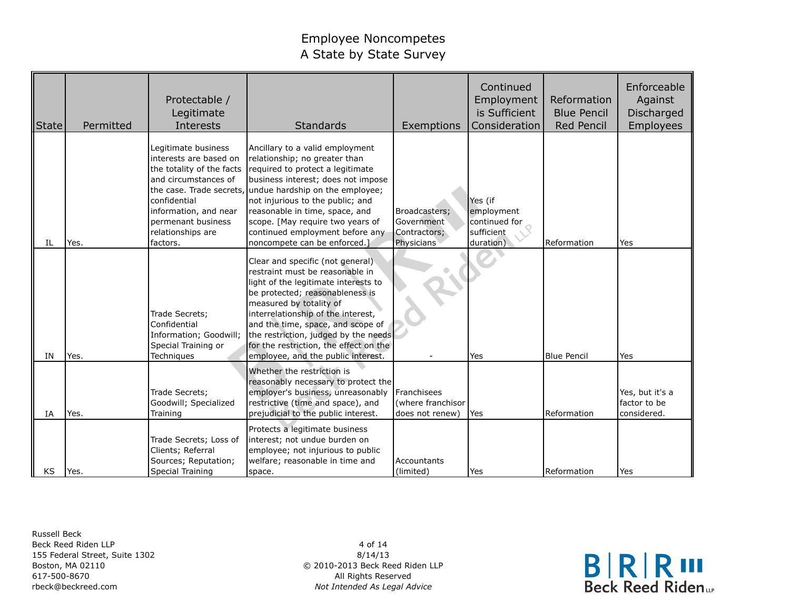| <b>State</b> | Permitted | Protectable /<br>Legitimate<br>Interests                                                                                                                                                                                       | Standards                                                                                                                                                                                                                                                                                                                                                                    | Exemptions                                                   | Continued<br>Employment<br>is Sufficient<br>Consideration         | Reformation<br><b>Blue Pencil</b><br>Red Pencil | Enforceable<br>Against<br>Discharged<br>Employees |
|--------------|-----------|--------------------------------------------------------------------------------------------------------------------------------------------------------------------------------------------------------------------------------|------------------------------------------------------------------------------------------------------------------------------------------------------------------------------------------------------------------------------------------------------------------------------------------------------------------------------------------------------------------------------|--------------------------------------------------------------|-------------------------------------------------------------------|-------------------------------------------------|---------------------------------------------------|
| IL           | Yes.      | Legitimate business<br>interests are based on<br>the totality of the facts<br>and circumstances of<br>the case. Trade secrets,<br>confidential<br>information, and near<br>permenant business<br>relationships are<br>factors. | Ancillary to a valid employment<br>relationship; no greater than<br>required to protect a legitimate<br>business interest; does not impose<br>undue hardship on the employee;<br>not injurious to the public; and<br>reasonable in time, space, and<br>scope. [May require two years of<br>continued employment before any<br>noncompete can be enforced.]                   | Broadcasters;<br>Government<br>Contractors;<br>Physicians    | Yes (if<br>employment<br>continued for<br>sufficient<br>duration) | Reformation                                     | Yes                                               |
| IN           | Yes.      | Trade Secrets;<br>Confidential<br>Information; Goodwill;<br>Special Training or<br>Techniques                                                                                                                                  | Clear and specific (not general)<br>restraint must be reasonable in<br>light of the legitimate interests to<br>be protected; reasonableness is<br>measured by totality of<br>interrelationship of the interest,<br>and the time, space, and scope of<br>the restriction, judged by the needs<br>for the restriction, the effect on the<br>employee, and the public interest. |                                                              | Yes                                                               | <b>Blue Pencil</b>                              | Yes                                               |
| IA           | Yes.      | Trade Secrets;<br>Goodwill; Specialized<br>Training                                                                                                                                                                            | Whether the restriction is<br>reasonably necessary to protect the<br>employer's business, unreasonably<br>restrictive (time and space), and<br>prejudicial to the public interest.                                                                                                                                                                                           | <b>I</b> Franchisees<br>(where franchisor<br>does not renew) | Yes                                                               | Reformation                                     | Yes, but it's a<br>factor to be<br>considered.    |
| KS           | Yes.      | Trade Secrets; Loss of<br>Clients; Referral<br>Sources; Reputation;<br>Special Training                                                                                                                                        | Protects a legitimate business<br>interest; not undue burden on<br>employee; not injurious to public<br>welfare; reasonable in time and<br>space.                                                                                                                                                                                                                            | Accountants<br>(limited)                                     | Yes                                                               | Reformation                                     | Yes                                               |

Russell Beck Beck Reed Riden LLP 155 Federal Street, Suite 1302 Boston, MA 02110 617-500-8670 rbeck@beckreed.com

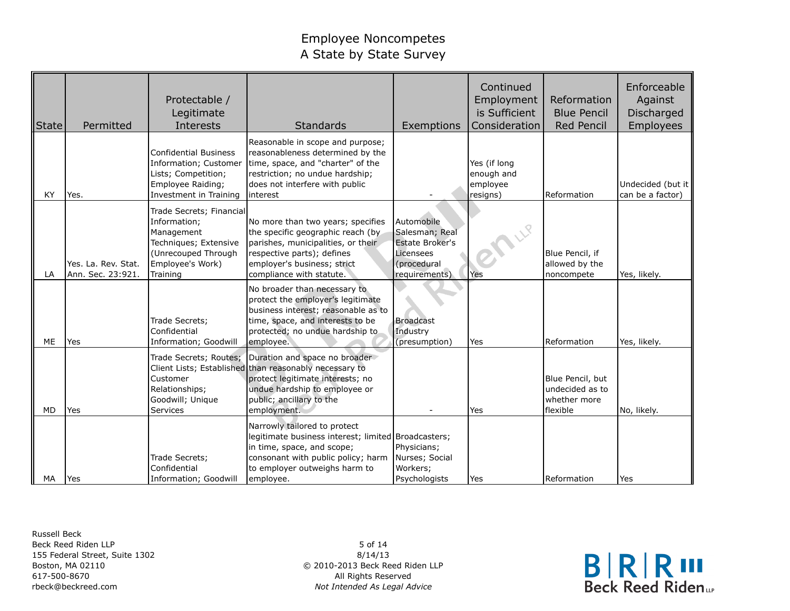| State     | Permitted                                | Protectable /<br>Legitimate<br>Interests                                                                                               | Standards                                                                                                                                                                                               | Exemptions                                                                                          | Continued<br>Employment<br>is Sufficient<br>Consideration | Reformation<br><b>Blue Pencil</b><br>Red Pencil                 | Enforceable<br>Against<br>Discharged<br>Employees |
|-----------|------------------------------------------|----------------------------------------------------------------------------------------------------------------------------------------|---------------------------------------------------------------------------------------------------------------------------------------------------------------------------------------------------------|-----------------------------------------------------------------------------------------------------|-----------------------------------------------------------|-----------------------------------------------------------------|---------------------------------------------------|
| KY        | Yes.                                     | <b>Confidential Business</b><br>Information; Customer<br>Lists; Competition;<br>Employee Raiding;<br>Investment in Training            | Reasonable in scope and purpose;<br>reasonableness determined by the<br>time, space, and "charter" of the<br>restriction; no undue hardship;<br>does not interfere with public<br>interest              |                                                                                                     | Yes (if long<br>enough and<br>employee<br>resigns)        | Reformation                                                     | Undecided (but it<br>can be a factor)             |
| LA        | Yes. La. Rev. Stat.<br>Ann. Sec. 23:921. | Trade Secrets; Financial<br>Information;<br>Management<br>Techniques; Extensive<br>(Unrecouped Through<br>Employee's Work)<br>Training | No more than two years; specifies<br>the specific geographic reach (by<br>parishes, municipalities, or their<br>respective parts); defines<br>employer's business; strict<br>compliance with statute.   | Automobile<br>Salesman; Real<br><b>Estate Broker's</b><br>Licensees<br>(procedural<br>requirements) | Yes                                                       | Blue Pencil, if<br>allowed by the<br>noncompete                 | Yes, likely.                                      |
| <b>ME</b> | Yes                                      | Trade Secrets;<br>Confidential<br>Information; Goodwill                                                                                | No broader than necessary to<br>protect the employer's legitimate<br>business interest; reasonable as to<br>time, space, and interests to be<br>protected; no undue hardship to<br>employee.            | <b>Broadcast</b><br>Industry<br>(presumption)                                                       | Yes                                                       | Reformation                                                     | Yes, likely.                                      |
| <b>MD</b> | Yes                                      | Trade Secrets; Routes;<br>Customer<br>Relationships;<br>Goodwill; Unique<br>Services                                                   | Duration and space no broader<br>Client Lists; Established than reasonably necessary to<br>protect legitimate interests; no<br>undue hardship to employee or<br>public; ancillary to the<br>employment. |                                                                                                     | Yes                                                       | Blue Pencil, but<br>undecided as to<br>whether more<br>flexible | No, likely.                                       |
| MA        | <b>Yes</b>                               | Trade Secrets;<br>Confidential<br>Information; Goodwill                                                                                | Narrowly tailored to protect<br>legitimate business interest; limited Broadcasters;<br>in time, space, and scope;<br>consonant with public policy; harm<br>to employer outweighs harm to<br>employee.   | Physicians;<br>Nurses; Social<br>Workers;<br>Psychologists                                          | Yes                                                       | Reformation                                                     | Yes                                               |

Russell Beck Beck Reed Riden LLP 155 Federal Street, Suite 1302 Boston, MA 02110 617-500-8670 rbeck@beckreed.com

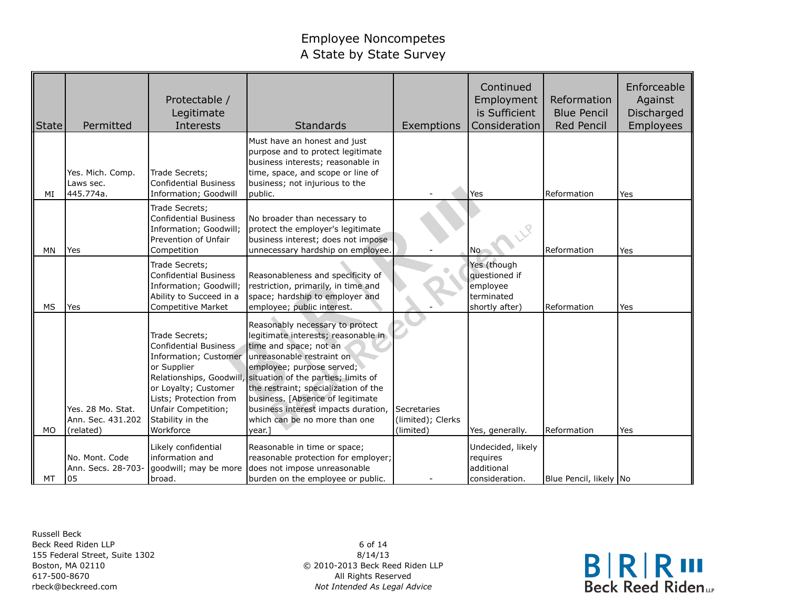| State     | Permitted                                           | Protectable /<br>Legitimate<br>Interests                                                                                                                                                         | Standards                                                                                                                                                                                                                                                                                                                                                                                 | Exemptions                                    | Continued<br>Employment<br>is Sufficient<br>Consideration                | Reformation<br><b>Blue Pencil</b><br><b>Red Pencil</b> | Enforceable<br>Against<br>Discharged<br>Employees |
|-----------|-----------------------------------------------------|--------------------------------------------------------------------------------------------------------------------------------------------------------------------------------------------------|-------------------------------------------------------------------------------------------------------------------------------------------------------------------------------------------------------------------------------------------------------------------------------------------------------------------------------------------------------------------------------------------|-----------------------------------------------|--------------------------------------------------------------------------|--------------------------------------------------------|---------------------------------------------------|
| MI        | Yes. Mich. Comp.<br>Laws sec.<br>445.774a.          | Trade Secrets;<br><b>Confidential Business</b><br>Information; Goodwill                                                                                                                          | Must have an honest and just<br>purpose and to protect legitimate<br>business interests; reasonable in<br>time, space, and scope or line of<br>business; not injurious to the<br>public.                                                                                                                                                                                                  |                                               | Yes                                                                      | Reformation                                            | Yes                                               |
| <b>MN</b> | Yes                                                 | Trade Secrets;<br><b>Confidential Business</b><br>Information; Goodwill;<br>Prevention of Unfair<br>Competition                                                                                  | No broader than necessary to<br>protect the employer's legitimate<br>business interest; does not impose<br>unnecessary hardship on employee.                                                                                                                                                                                                                                              |                                               | l No                                                                     | Reformation                                            | Yes                                               |
| MS        | Yes                                                 | Trade Secrets;<br><b>Confidential Business</b><br>Information; Goodwill;<br>Ability to Succeed in a<br>Competitive Market                                                                        | Reasonableness and specificity of<br>restriction, primarily, in time and<br>space; hardship to employer and<br>employee; public interest.                                                                                                                                                                                                                                                 |                                               | Yes (though<br>questioned if<br>employee<br>terminated<br>shortly after) | Reformation                                            | Yes                                               |
| <b>MO</b> | Yes. 28 Mo. Stat.<br>Ann. Sec. 431.202<br>(related) | Trade Secrets;<br><b>Confidential Business</b><br>Information; Customer<br>or Supplier<br>or Loyalty; Customer<br>Lists; Protection from<br>Unfair Competition;<br>Stability in the<br>Workforce | Reasonably necessary to protect<br>legitimate interests; reasonable in<br>time and space; not an<br>unreasonable restraint on<br>employee; purpose served;<br>Relationships, Goodwill, situation of the parties; limits of<br>the restraint; specialization of the<br>business. [Absence of legitimate<br>business interest impacts duration,<br>which can be no more than one<br>vear. I | Secretaries<br>(limited); Clerks<br>(limited) | Yes, generally.                                                          | Reformation                                            | Yes                                               |
| MT        | No. Mont. Code<br>Ann. Secs. 28-703-<br>05          | Likely confidential<br>information and<br>goodwill; may be more<br>broad.                                                                                                                        | Reasonable in time or space;<br>reasonable protection for employer;<br>does not impose unreasonable<br>burden on the employee or public.                                                                                                                                                                                                                                                  |                                               | Undecided, likely<br>requires<br>additional<br>consideration.            | Blue Pencil, likely No                                 |                                                   |

Russell Beck Beck Reed Riden LLP 155 Federal Street, Suite 1302 Boston, MA 02110 617-500-8670 rbeck@beckreed.com

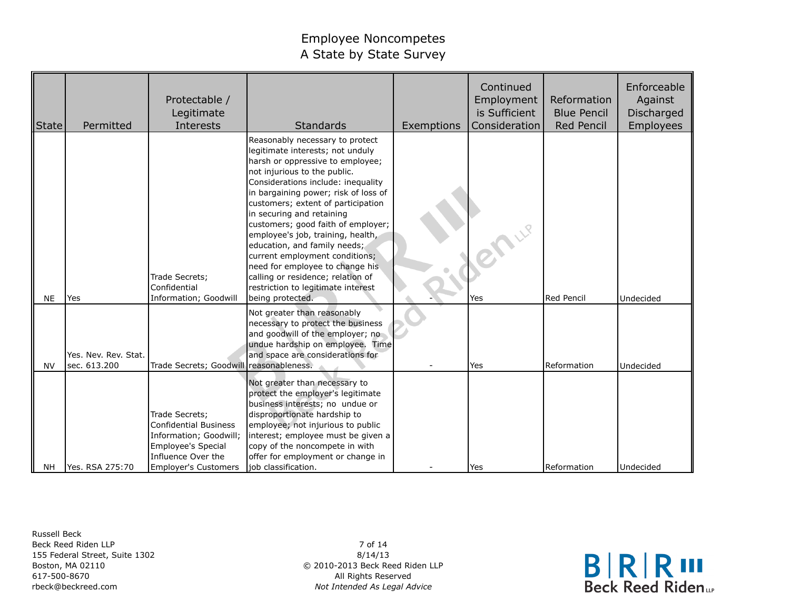| <b>State</b> | Permitted                            | Protectable /<br>Legitimate<br>Interests                                                                                                            | <b>Standards</b>                                                                                                                                                                                                                                                                                                                                                                                                                                                                                                                                                        | Exemptions | Continued<br>Employment<br>is Sufficient<br>Consideration | Reformation<br><b>Blue Pencil</b><br>Red Pencil | Enforceable<br>Against<br>Discharged<br>Employees |
|--------------|--------------------------------------|-----------------------------------------------------------------------------------------------------------------------------------------------------|-------------------------------------------------------------------------------------------------------------------------------------------------------------------------------------------------------------------------------------------------------------------------------------------------------------------------------------------------------------------------------------------------------------------------------------------------------------------------------------------------------------------------------------------------------------------------|------------|-----------------------------------------------------------|-------------------------------------------------|---------------------------------------------------|
| <b>NE</b>    | Yes                                  | Trade Secrets;<br>Confidential<br>Information; Goodwill                                                                                             | Reasonably necessary to protect<br>legitimate interests; not unduly<br>harsh or oppressive to employee;<br>not injurious to the public.<br>Considerations include: inequality<br>in bargaining power; risk of loss of<br>customers; extent of participation<br>in securing and retaining<br>customers; good faith of employer;<br>employee's job, training, health,<br>education, and family needs;<br>current employment conditions;<br>need for employee to change his<br>calling or residence; relation of<br>restriction to legitimate interest<br>being protected. |            | <b>BALLE</b><br>Yes                                       | <b>Red Pencil</b>                               | Undecided                                         |
| <b>NV</b>    | Yes. Nev. Rev. Stat.<br>sec. 613.200 | Trade Secrets; Goodwill reasonableness.                                                                                                             | Not greater than reasonably<br>necessary to protect the business<br>and goodwill of the employer; no<br>undue hardship on employee. Time<br>and space are considerations for                                                                                                                                                                                                                                                                                                                                                                                            |            | Yes                                                       | Reformation                                     | Undecided                                         |
| <b>NH</b>    | Yes. RSA 275:70                      | Trade Secrets;<br><b>Confidential Business</b><br>Information; Goodwill;<br>Employee's Special<br>Influence Over the<br><b>Employer's Customers</b> | Not greater than necessary to<br>protect the employer's legitimate<br>business interests; no undue or<br>disproportionate hardship to<br>employee; not injurious to public<br>interest; employee must be given a<br>copy of the noncompete in with<br>offer for employment or change in<br>job classification.                                                                                                                                                                                                                                                          |            | Yes                                                       | Reformation                                     | Undecided                                         |

Russell Beck Beck Reed Riden LLP 155 Federal Street, Suite 1302 Boston, MA 02110 617-500-8670 rbeck@beckreed.com

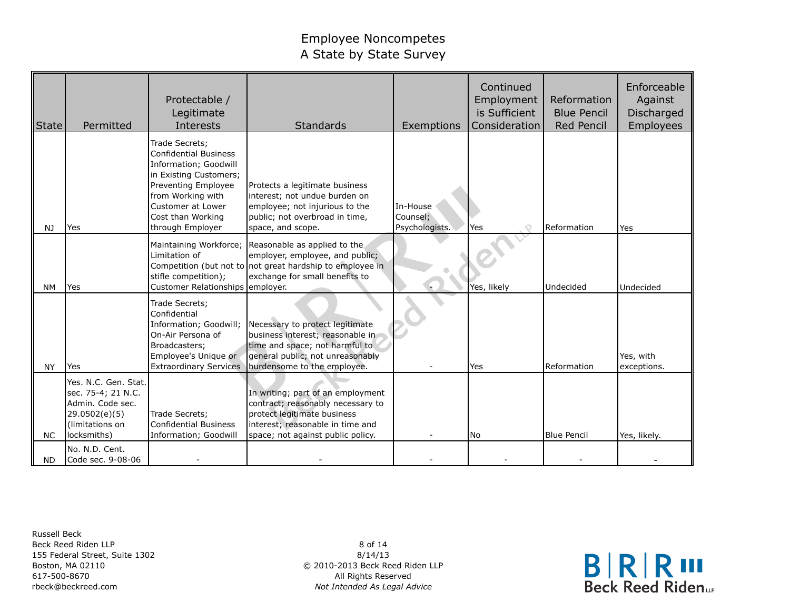| State     | Permitted                                                                                                         | Protectable /<br>Legitimate<br>Interests                                                                                                                                                                    | <b>Standards</b>                                                                                                                                                                      | Exemptions                             | Continued<br>Employment<br>is Sufficient<br>Consideration | Reformation<br><b>Blue Pencil</b><br><b>Red Pencil</b> | Enforceable<br>Against<br>Discharged<br>Employees |
|-----------|-------------------------------------------------------------------------------------------------------------------|-------------------------------------------------------------------------------------------------------------------------------------------------------------------------------------------------------------|---------------------------------------------------------------------------------------------------------------------------------------------------------------------------------------|----------------------------------------|-----------------------------------------------------------|--------------------------------------------------------|---------------------------------------------------|
| NJ        | Yes                                                                                                               | Trade Secrets;<br><b>Confidential Business</b><br>Information; Goodwill<br>in Existing Customers;<br>Preventing Employee<br>from Working with<br>Customer at Lower<br>Cost than Working<br>through Employer | Protects a legitimate business<br>interest; not undue burden on<br>employee; not injurious to the<br>public; not overbroad in time,<br>space, and scope.                              | In-House<br>Counsel;<br>Psychologists. | Yes                                                       | Reformation                                            | Yes                                               |
| <b>NM</b> | <b>Yes</b>                                                                                                        | Limitation of<br>stifle competition);<br>Customer Relationships employer.                                                                                                                                   | Maintaining Workforce; Reasonable as applied to the<br>employer, employee, and public;<br>Competition (but not to not great hardship to employee in<br>exchange for small benefits to |                                        | Yes, likely                                               | Undecided                                              | Undecided                                         |
| <b>NY</b> | Yes                                                                                                               | Trade Secrets;<br>Confidential<br>Information; Goodwill;<br>On-Air Persona of<br>Broadcasters;<br>Employee's Unique or<br><b>Extraordinary Services</b>                                                     | Necessary to protect legitimate<br>business interest; reasonable in<br>time and space; not harmful to<br>general public; not unreasonably<br>burdensome to the employee.              |                                        | Yes                                                       | Reformation                                            | Yes, with<br>exceptions.                          |
| <b>NC</b> | Yes. N.C. Gen. Stat.<br>sec. 75-4; 21 N.C.<br>Admin. Code sec.<br>29.0502(e)(5)<br>(limitations on<br>locksmiths) | Trade Secrets;<br><b>Confidential Business</b><br>Information; Goodwill                                                                                                                                     | In writing; part of an employment<br>contract; reasonably necessary to<br>protect legitimate business<br>interest; reasonable in time and<br>space; not against public policy.        |                                        | l No                                                      | <b>Blue Pencil</b>                                     | Yes, likely.                                      |
| <b>ND</b> | No. N.D. Cent.<br>Code sec. 9-08-06                                                                               |                                                                                                                                                                                                             |                                                                                                                                                                                       |                                        |                                                           |                                                        |                                                   |

Russell Beck Beck Reed Riden LLP 155 Federal Street, Suite 1302 Boston, MA 02110 617-500-8670 rbeck@beckreed.com

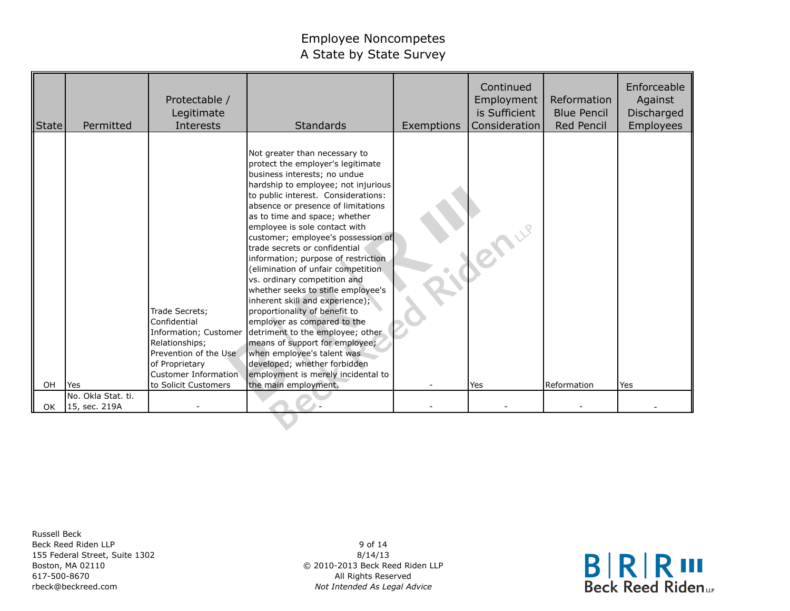| State | Permitted                          | Protectable /<br>Legitimate<br>Interests                                                                                                                             | <b>Standards</b>                                                                                                                                                                                                                                                                                                                                                                                                                                                                                                                                                                                                                                                                                                                                                                                                        | Exemptions | Continued<br>Employment<br>is Sufficient<br>Consideration | Reformation<br><b>Blue Pencil</b><br>Red Pencil | Enforceable<br>Against<br>Discharged<br>Employees |
|-------|------------------------------------|----------------------------------------------------------------------------------------------------------------------------------------------------------------------|-------------------------------------------------------------------------------------------------------------------------------------------------------------------------------------------------------------------------------------------------------------------------------------------------------------------------------------------------------------------------------------------------------------------------------------------------------------------------------------------------------------------------------------------------------------------------------------------------------------------------------------------------------------------------------------------------------------------------------------------------------------------------------------------------------------------------|------------|-----------------------------------------------------------|-------------------------------------------------|---------------------------------------------------|
| OH    | <b>I</b> Yes<br>No. Okla Stat. ti. | Trade Secrets;<br>Confidential<br>Information; Customer<br>Relationships;<br>Prevention of the Use<br>of Proprietary<br>Customer Information<br>to Solicit Customers | Not greater than necessary to<br>protect the employer's legitimate<br>business interests; no undue<br>hardship to employee; not injurious<br>to public interest. Considerations:<br>absence or presence of limitations<br>as to time and space; whether<br>employee is sole contact with<br>customer; employee's possession of<br>trade secrets or confidential<br>information; purpose of restriction<br>(elimination of unfair competition<br>vs. ordinary competition and<br>whether seeks to stifle employee's<br>inherent skill and experience);<br>proportionality of benefit to<br>employer as compared to the<br>detriment to the employee; other<br>means of support for employee;<br>when employee's talent was<br>developed; whether forbidden<br>employment is merely incidental to<br>the main employment. |            | lYes                                                      | Reformation                                     | <b>Yes</b>                                        |
| 0K    | 15, sec. 219A                      |                                                                                                                                                                      |                                                                                                                                                                                                                                                                                                                                                                                                                                                                                                                                                                                                                                                                                                                                                                                                                         |            |                                                           |                                                 |                                                   |
|       |                                    |                                                                                                                                                                      |                                                                                                                                                                                                                                                                                                                                                                                                                                                                                                                                                                                                                                                                                                                                                                                                                         |            |                                                           |                                                 |                                                   |

Russell Beck Beck Reed Riden LLP 155 Federal Street, Suite 1302 Boston, MA 02110 617-500-8670 rbeck@beckreed.com

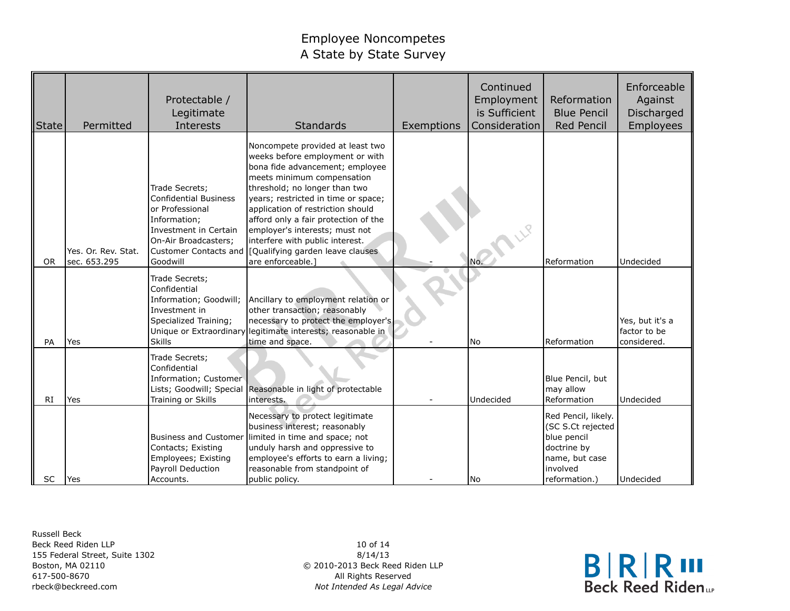| State     | Permitted                           | Protectable /<br>Legitimate<br>Interests                                                                                                                                | Standards                                                                                                                                                                                                                                                                                                                                                                                                               | Exemptions | Continued<br>Employment<br>is Sufficient<br>Consideration | Reformation<br><b>Blue Pencil</b><br><b>Red Pencil</b>                                                                | Enforceable<br>Against<br>Discharged<br>Employees |
|-----------|-------------------------------------|-------------------------------------------------------------------------------------------------------------------------------------------------------------------------|-------------------------------------------------------------------------------------------------------------------------------------------------------------------------------------------------------------------------------------------------------------------------------------------------------------------------------------------------------------------------------------------------------------------------|------------|-----------------------------------------------------------|-----------------------------------------------------------------------------------------------------------------------|---------------------------------------------------|
| <b>OR</b> | Yes. Or. Rev. Stat.<br>sec. 653.295 | Trade Secrets;<br><b>Confidential Business</b><br>or Professional<br>Information;<br>Investment in Certain<br>On-Air Broadcasters;<br>Customer Contacts and<br>Goodwill | Noncompete provided at least two<br>weeks before employment or with<br>bona fide advancement; employee<br>meets minimum compensation<br>threshold; no longer than two<br>years; restricted in time or space;<br>application of restriction should<br>afford only a fair protection of the<br>employer's interests; must not<br>interfere with public interest.<br>[Qualifying garden leave clauses<br>are enforceable.] |            | No.                                                       | Reformation                                                                                                           | Undecided                                         |
| PA        | Yes                                 | Trade Secrets;<br>Confidential<br>Information; Goodwill;<br>Investment in<br>Specialized Training;<br>Unique or Extraordinary<br><b>Skills</b>                          | Ancillary to employment relation or<br>other transaction; reasonably<br>necessary to protect the employer's<br>legitimate interests; reasonable in<br>time and space.                                                                                                                                                                                                                                                   |            | l No                                                      | Reformation                                                                                                           | Yes, but it's a<br>factor to be<br>considered.    |
| RI        | Yes                                 | Trade Secrets;<br>Confidential<br>Information; Customer<br>Lists; Goodwill; Special<br>Training or Skills                                                               | Reasonable in light of protectable<br>interests.                                                                                                                                                                                                                                                                                                                                                                        |            | Undecided                                                 | Blue Pencil, but<br>may allow<br>Reformation                                                                          | Undecided                                         |
| SC        | lYes                                | <b>Business and Customer</b><br>Contacts; Existing<br>Employees; Existing<br>Payroll Deduction<br>Accounts.                                                             | Necessary to protect legitimate<br>business interest; reasonably<br>limited in time and space; not<br>unduly harsh and oppressive to<br>employee's efforts to earn a living;<br>reasonable from standpoint of<br>public policy.                                                                                                                                                                                         |            | l No                                                      | Red Pencil, likely.<br>(SC S.Ct rejected<br>blue pencil<br>doctrine by<br>name, but case<br>involved<br>reformation.) | Undecided                                         |

Russell Beck Beck Reed Riden LLP 155 Federal Street, Suite 1302 Boston, MA 02110 617-500-8670 rbeck@beckreed.com

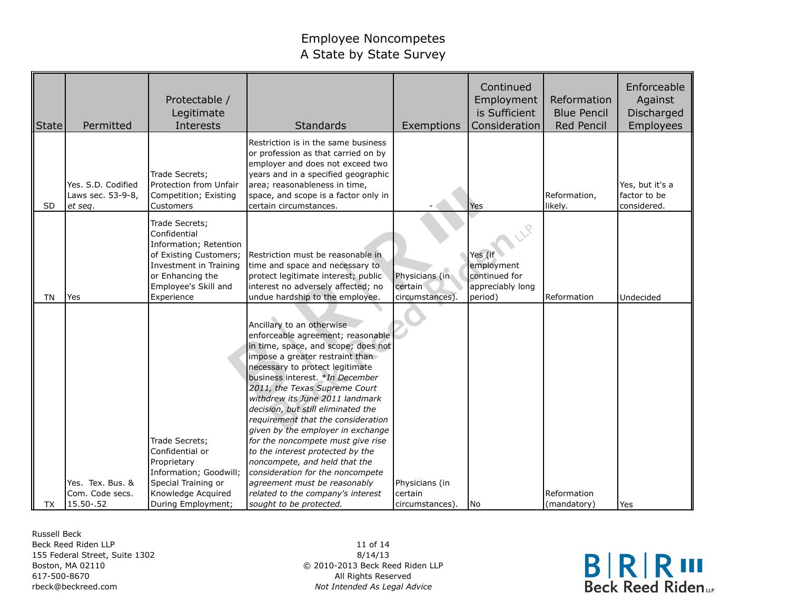| <b>State</b> | Permitted                                           | Protectable /<br>Legitimate<br>Interests                                                                                                                               | Standards                                                                                                                                                                                                                                                                                                                                                                                                                                                                                                                                                                                                                                         | Exemptions                                  | Continued<br>Employment<br>is Sufficient<br>Consideration             | Reformation<br><b>Blue Pencil</b><br><b>Red Pencil</b> | Enforceable<br>Against<br>Discharged<br>Employees |
|--------------|-----------------------------------------------------|------------------------------------------------------------------------------------------------------------------------------------------------------------------------|---------------------------------------------------------------------------------------------------------------------------------------------------------------------------------------------------------------------------------------------------------------------------------------------------------------------------------------------------------------------------------------------------------------------------------------------------------------------------------------------------------------------------------------------------------------------------------------------------------------------------------------------------|---------------------------------------------|-----------------------------------------------------------------------|--------------------------------------------------------|---------------------------------------------------|
| SD           | Yes. S.D. Codified<br>Laws sec. 53-9-8,<br>et seq.  | Trade Secrets;<br>Protection from Unfair<br>Competition; Existing<br>Customers                                                                                         | Restriction is in the same business<br>or profession as that carried on by<br>employer and does not exceed two<br>years and in a specified geographic<br>area; reasonableness in time,<br>space, and scope is a factor only in<br>certain circumstances.                                                                                                                                                                                                                                                                                                                                                                                          |                                             | Yes                                                                   | Reformation,<br>likely.                                | Yes, but it's a<br>factor to be<br>considered.    |
| ΤN           | Yes                                                 | Trade Secrets;<br>Confidential<br>Information; Retention<br>of Existing Customers;<br>Investment in Training<br>or Enhancing the<br>Employee's Skill and<br>Experience | Restriction must be reasonable in<br>time and space and necessary to<br>protect legitimate interest; public<br>interest no adversely affected; no<br>undue hardship to the employee.                                                                                                                                                                                                                                                                                                                                                                                                                                                              | Physicians (in<br>certain<br>circumstances) | Yes (if<br>employment<br>continued for<br>appreciably long<br>period) | Reformation                                            | Undecided                                         |
| TX           | Yes. Tex. Bus. &<br>Com. Code secs.<br>15.50 - . 52 | Trade Secrets;<br>Confidential or<br>Proprietary<br>Information; Goodwill;<br>Special Training or<br>Knowledge Acquired<br>During Employment;                          | Ancillary to an otherwise<br>enforceable agreement; reasonable<br>in time, space, and scope; does not<br>impose a greater restraint than<br>necessary to protect legitimate<br>business interest. *In December<br>2011, the Texas Supreme Court<br>withdrew its June 2011 landmark<br>decision, but still eliminated the<br>requirement that the consideration<br>given by the employer in exchange<br>for the noncompete must give rise<br>to the interest protected by the<br>noncompete, and held that the<br>consideration for the noncompete<br>agreement must be reasonably<br>related to the company's interest<br>sought to be protected. | Physicians (in<br>certain<br>circumstances) | No                                                                    | Reformation<br>(mandatory)                             | Yes                                               |

Russell Beck Beck Reed Riden LLP 155 Federal Street, Suite 1302 Boston, MA 02110 617-500-8670 rbeck@beckreed.com

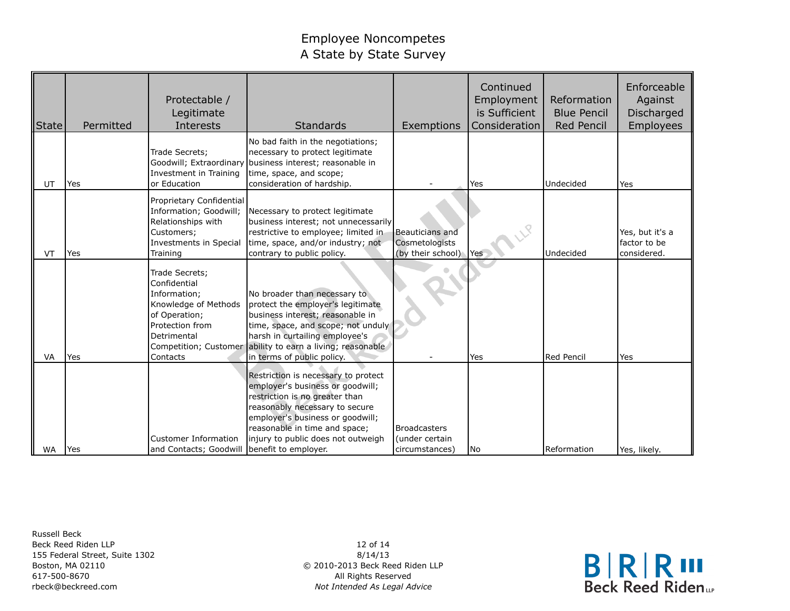| State     | Permitted  | Protectable /<br>Legitimate<br>Interests                                                                                              | <b>Standards</b>                                                                                                                                                                                                                                                          | Exemptions                                              | Continued<br>Employment<br>is Sufficient<br>Consideration | Reformation<br><b>Blue Pencil</b><br>Red Pencil | Enforceable<br>Against<br>Discharged<br>Employees |
|-----------|------------|---------------------------------------------------------------------------------------------------------------------------------------|---------------------------------------------------------------------------------------------------------------------------------------------------------------------------------------------------------------------------------------------------------------------------|---------------------------------------------------------|-----------------------------------------------------------|-------------------------------------------------|---------------------------------------------------|
| UT        | <b>Yes</b> | Trade Secrets;<br>Goodwill; Extraordinary<br>Investment in Training<br>or Education                                                   | No bad faith in the negotiations;<br>necessary to protect legitimate<br>business interest; reasonable in<br>time, space, and scope;<br>consideration of hardship.                                                                                                         |                                                         | Yes                                                       | Undecided                                       | Yes                                               |
| VT        | Yes        | Proprietary Confidential<br>Information; Goodwill;<br>Relationships with<br>Customers;<br>Investments in Special<br>Training          | Necessary to protect legitimate<br>business interest; not unnecessarily<br>restrictive to employee; limited in<br>time, space, and/or industry; not<br>contrary to public policy.                                                                                         | Beauticians and<br>Cosmetologists<br>(by their school)  | Yes                                                       | Undecided                                       | Yes, but it's a<br>factor to be<br>considered.    |
| <b>VA</b> | Yes        | Trade Secrets;<br>Confidential<br>Information:<br>Knowledge of Methods<br>of Operation;<br>Protection from<br>Detrimental<br>Contacts | No broader than necessary to<br>protect the employer's legitimate<br>business interest; reasonable in<br>time, space, and scope; not unduly<br>harsh in curtailing employee's<br>Competition; Customer ability to earn a living; reasonable<br>in terms of public policy. |                                                         | Yes                                                       | Red Pencil                                      | Yes                                               |
| <b>WA</b> | <b>Yes</b> | Customer Information<br>and Contacts; Goodwill benefit to employer.                                                                   | Restriction is necessary to protect<br>employer's business or goodwill;<br>restriction is no greater than<br>reasonably necessary to secure<br>employer's business or goodwill;<br>reasonable in time and space;<br>injury to public does not outweigh                    | <b>Broadcasters</b><br>(under certain<br>circumstances) | No.                                                       | Reformation                                     | Yes, likely.                                      |

Russell Beck Beck Reed Riden LLP 155 Federal Street, Suite 1302 Boston, MA 02110 617-500-8670 rbeck@beckreed.com

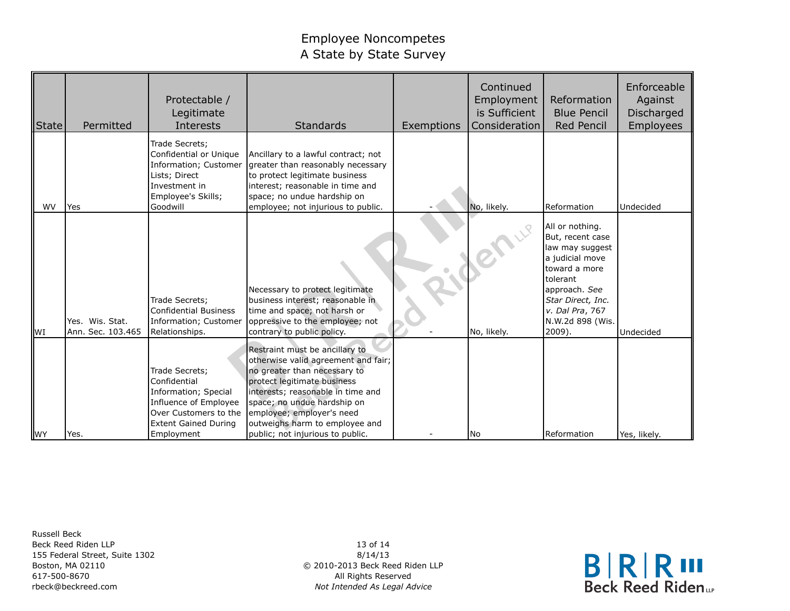| State     | Permitted                            | Protectable /<br>Legitimate<br>Interests                                                                                                              | <b>Standards</b>                                                                                                                                                                                                                                                                                            | Exemptions | Continued<br>Employment<br>is Sufficient<br>Consideration | Reformation<br><b>Blue Pencil</b><br><b>Red Pencil</b>                                                                                                                                        | Enforceable<br>Against<br>Discharged<br>Employees |
|-----------|--------------------------------------|-------------------------------------------------------------------------------------------------------------------------------------------------------|-------------------------------------------------------------------------------------------------------------------------------------------------------------------------------------------------------------------------------------------------------------------------------------------------------------|------------|-----------------------------------------------------------|-----------------------------------------------------------------------------------------------------------------------------------------------------------------------------------------------|---------------------------------------------------|
| <b>WV</b> | Yes                                  | Trade Secrets;<br>Confidential or Unique<br>Information; Customer<br>Lists; Direct<br>Investment in<br>Employee's Skills;<br>Goodwill                 | Ancillary to a lawful contract; not<br>greater than reasonably necessary<br>to protect legitimate business<br>interest; reasonable in time and<br>space; no undue hardship on<br>employee; not injurious to public.                                                                                         |            | No, likely.                                               | Reformation                                                                                                                                                                                   | Undecided                                         |
| <b>WI</b> | Yes. Wis. Stat.<br>Ann. Sec. 103.465 | Trade Secrets;<br><b>Confidential Business</b><br>Information; Customer<br>Relationships.                                                             | Necessary to protect legitimate<br>business interest; reasonable in<br>time and space; not harsh or<br>oppressive to the employee; not<br>contrary to public policy.                                                                                                                                        |            | No, likely.                                               | All or nothing.<br>But, recent case<br>law may suggest<br>a judicial move<br>toward a more<br>tolerant<br>approach. See<br>Star Direct, Inc.<br>v. Dal Pra, 767<br>N.W.2d 898 (Wis.<br>2009). | Undecided                                         |
| <b>WY</b> | Yes.                                 | Trade Secrets;<br>Confidential<br>Information; Special<br>Influence of Employee<br>Over Customers to the<br><b>Extent Gained During</b><br>Employment | Restraint must be ancillary to<br>otherwise valid agreement and fair;<br>no greater than necessary to<br>protect legitimate business<br>interests; reasonable in time and<br>space; no undue hardship on<br>employee; employer's need<br>outweighs harm to employee and<br>public; not injurious to public. |            | l No                                                      | Reformation                                                                                                                                                                                   | Yes, likely.                                      |

Russell Beck Beck Reed Riden LLP 155 Federal Street, Suite 1302 Boston, MA 02110 617-500-8670 rbeck@beckreed.com